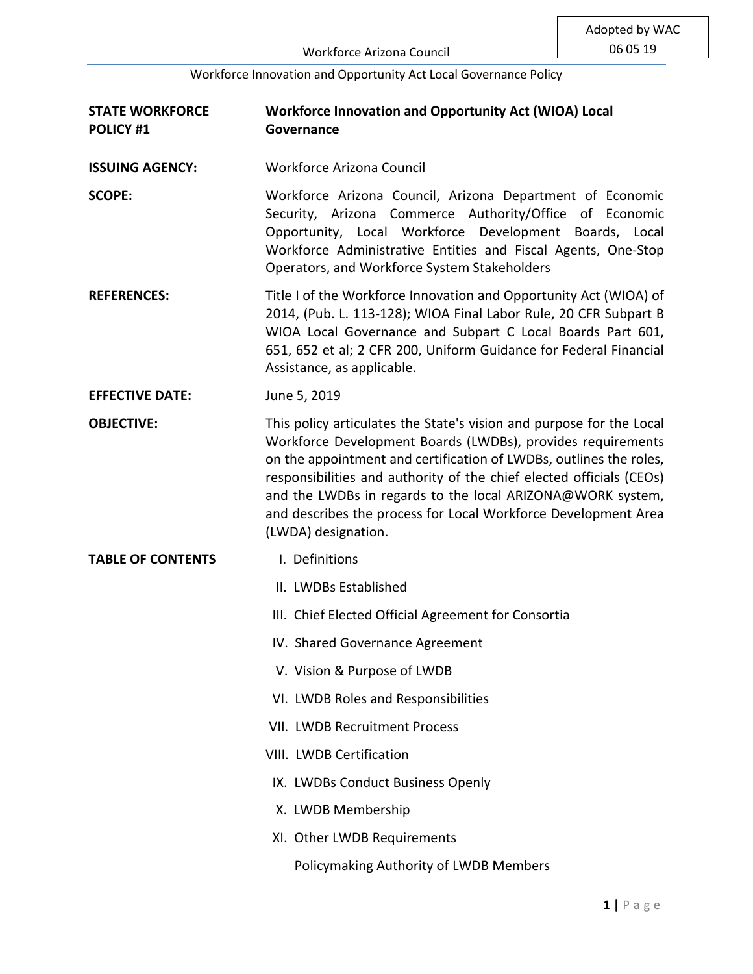| <b>STATE WORKFORCE</b><br><b>POLICY #1</b> | <b>Workforce Innovation and Opportunity Act (WIOA) Local</b><br>Governance                                                                                                                                                                                                                                                                                                                                                               |
|--------------------------------------------|------------------------------------------------------------------------------------------------------------------------------------------------------------------------------------------------------------------------------------------------------------------------------------------------------------------------------------------------------------------------------------------------------------------------------------------|
| <b>ISSUING AGENCY:</b>                     | <b>Workforce Arizona Council</b>                                                                                                                                                                                                                                                                                                                                                                                                         |
| <b>SCOPE:</b>                              | Workforce Arizona Council, Arizona Department of Economic<br>Security, Arizona Commerce Authority/Office of Economic<br>Opportunity, Local Workforce Development Boards, Local<br>Workforce Administrative Entities and Fiscal Agents, One-Stop<br>Operators, and Workforce System Stakeholders                                                                                                                                          |
| <b>REFERENCES:</b>                         | Title I of the Workforce Innovation and Opportunity Act (WIOA) of<br>2014, (Pub. L. 113-128); WIOA Final Labor Rule, 20 CFR Subpart B<br>WIOA Local Governance and Subpart C Local Boards Part 601,<br>651, 652 et al; 2 CFR 200, Uniform Guidance for Federal Financial<br>Assistance, as applicable.                                                                                                                                   |
| <b>EFFECTIVE DATE:</b>                     | June 5, 2019                                                                                                                                                                                                                                                                                                                                                                                                                             |
| <b>OBJECTIVE:</b>                          | This policy articulates the State's vision and purpose for the Local<br>Workforce Development Boards (LWDBs), provides requirements<br>on the appointment and certification of LWDBs, outlines the roles,<br>responsibilities and authority of the chief elected officials (CEOs)<br>and the LWDBs in regards to the local ARIZONA@WORK system,<br>and describes the process for Local Workforce Development Area<br>(LWDA) designation. |
| <b>TABLE OF CONTENTS</b>                   | I. Definitions                                                                                                                                                                                                                                                                                                                                                                                                                           |
|                                            | II. LWDBs Established                                                                                                                                                                                                                                                                                                                                                                                                                    |
|                                            | III. Chief Elected Official Agreement for Consortia                                                                                                                                                                                                                                                                                                                                                                                      |
|                                            | IV. Shared Governance Agreement                                                                                                                                                                                                                                                                                                                                                                                                          |
|                                            | V. Vision & Purpose of LWDB                                                                                                                                                                                                                                                                                                                                                                                                              |
|                                            | VI. LWDB Roles and Responsibilities                                                                                                                                                                                                                                                                                                                                                                                                      |
|                                            | <b>VII. LWDB Recruitment Process</b>                                                                                                                                                                                                                                                                                                                                                                                                     |
|                                            | VIII. LWDB Certification                                                                                                                                                                                                                                                                                                                                                                                                                 |
|                                            | IX. LWDBs Conduct Business Openly                                                                                                                                                                                                                                                                                                                                                                                                        |
|                                            | X. LWDB Membership                                                                                                                                                                                                                                                                                                                                                                                                                       |
|                                            | XI. Other LWDB Requirements                                                                                                                                                                                                                                                                                                                                                                                                              |
|                                            | Policymaking Authority of LWDB Members                                                                                                                                                                                                                                                                                                                                                                                                   |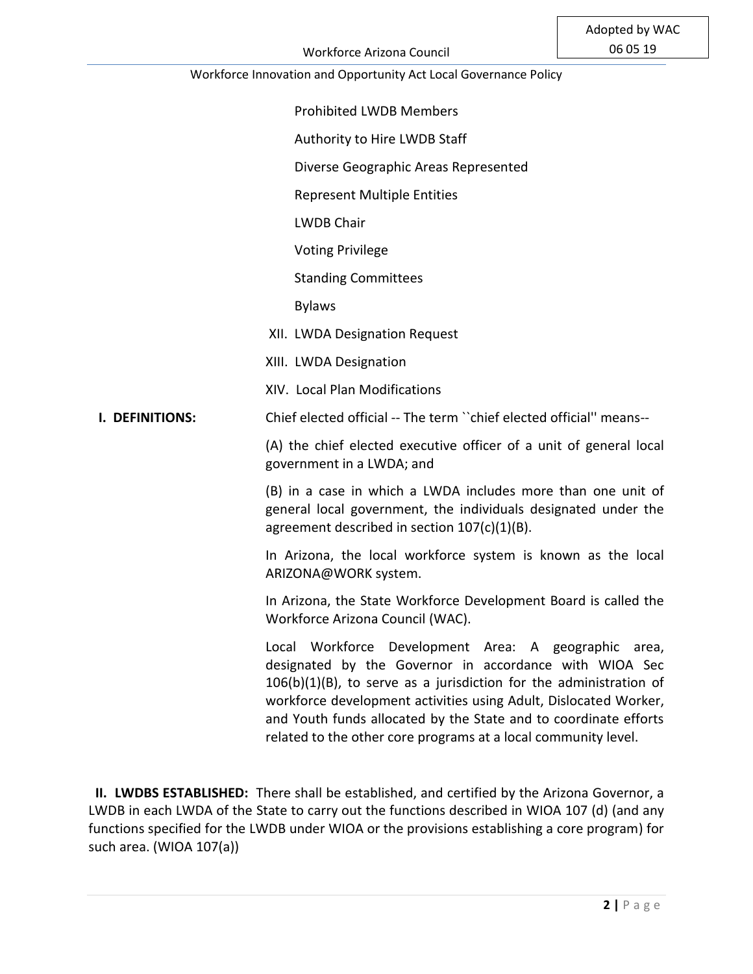Prohibited LWDB Members

Authority to Hire LWDB Staff

Diverse Geographic Areas Represented

Represent Multiple Entities

LWDB Chair

Voting Privilege

Standing Committees

Bylaws

XII. LWDA Designation Request

XIII. LWDA Designation

XIV. Local Plan Modifications

 **I. DEFINITIONS:** Chief elected official -- The term ``chief elected official'' means--

(A) the chief elected executive officer of a unit of general local government in a LWDA; and

(B) in a case in which a LWDA includes more than one unit of general local government, the individuals designated under the agreement described in section 107(c)(1)(B).

In Arizona, the local workforce system is known as the local ARIZONA@WORK system.

In Arizona, the State Workforce Development Board is called the Workforce Arizona Council (WAC).

Local Workforce Development Area: A geographic area, designated by the Governor in accordance with WIOA Sec 106(b)(1)(B), to serve as a jurisdiction for the administration of workforce development activities using Adult, Dislocated Worker, and Youth funds allocated by the State and to coordinate efforts related to the other core programs at a local community level.

 **II. LWDBS ESTABLISHED:** There shall be established, and certified by the Arizona Governor, a LWDB in each LWDA of the State to carry out the functions described in WIOA 107 (d) (and any functions specified for the LWDB under WIOA or the provisions establishing a core program) for such area. (WIOA 107(a))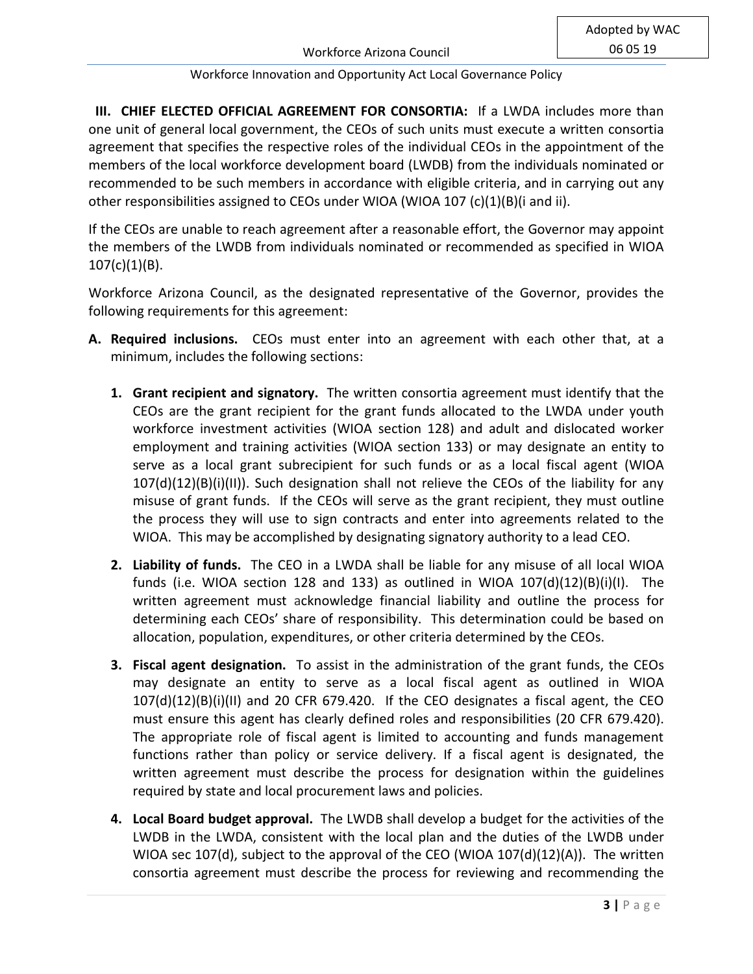**III. CHIEF ELECTED OFFICIAL AGREEMENT FOR CONSORTIA:** If a LWDA includes more than one unit of general local government, the CEOs of such units must execute a written consortia agreement that specifies the respective roles of the individual CEOs in the appointment of the members of the local workforce development board (LWDB) from the individuals nominated or recommended to be such members in accordance with eligible criteria, and in carrying out any other responsibilities assigned to CEOs under WIOA (WIOA 107 (c)(1)(B)(i and ii).

If the CEOs are unable to reach agreement after a reasonable effort, the Governor may appoint the members of the LWDB from individuals nominated or recommended as specified in WIOA  $107(c)(1)(B)$ .

Workforce Arizona Council, as the designated representative of the Governor, provides the following requirements for this agreement:

- **A. Required inclusions.** CEOs must enter into an agreement with each other that, at a minimum, includes the following sections:
	- **1. Grant recipient and signatory.** The written consortia agreement must identify that the CEOs are the grant recipient for the grant funds allocated to the LWDA under youth workforce investment activities (WIOA section 128) and adult and dislocated worker employment and training activities (WIOA section 133) or may designate an entity to serve as a local grant subrecipient for such funds or as a local fiscal agent (WIOA  $107(d)(12)(B)(i)(II))$ . Such designation shall not relieve the CEOs of the liability for any misuse of grant funds. If the CEOs will serve as the grant recipient, they must outline the process they will use to sign contracts and enter into agreements related to the WIOA. This may be accomplished by designating signatory authority to a lead CEO.
	- **2. Liability of funds.** The CEO in a LWDA shall be liable for any misuse of all local WIOA funds (i.e. WIOA section 128 and 133) as outlined in WIOA  $107(d)(12)(B)(i)(I)$ . The written agreement must acknowledge financial liability and outline the process for determining each CEOs' share of responsibility. This determination could be based on allocation, population, expenditures, or other criteria determined by the CEOs.
	- **3. Fiscal agent designation.** To assist in the administration of the grant funds, the CEOs may designate an entity to serve as a local fiscal agent as outlined in WIOA 107(d)(12)(B)(i)(II) and 20 CFR 679.420. If the CEO designates a fiscal agent, the CEO must ensure this agent has clearly defined roles and responsibilities (20 CFR 679.420). The appropriate role of fiscal agent is limited to accounting and funds management functions rather than policy or service delivery. If a fiscal agent is designated, the written agreement must describe the process for designation within the guidelines required by state and local procurement laws and policies.
	- **4. Local Board budget approval.** The LWDB shall develop a budget for the activities of the LWDB in the LWDA, consistent with the local plan and the duties of the LWDB under WIOA sec 107(d), subject to the approval of the CEO (WIOA  $107(d)(12)(A)$ ). The written consortia agreement must describe the process for reviewing and recommending the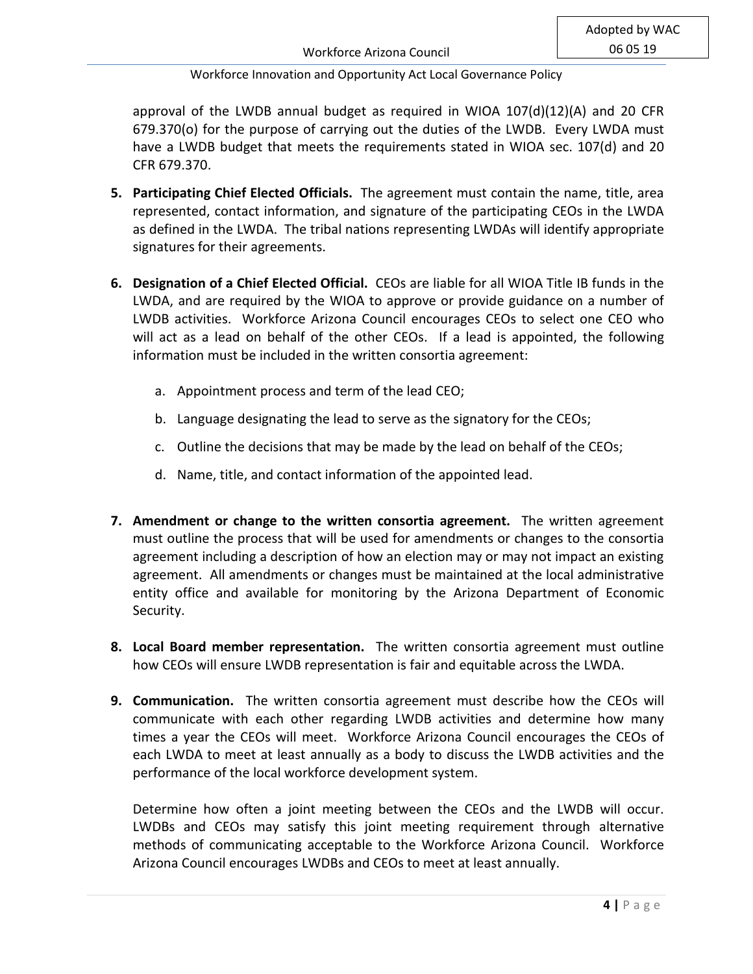approval of the LWDB annual budget as required in WIOA 107(d)(12)(A) and 20 CFR 679.370(o) for the purpose of carrying out the duties of the LWDB. Every LWDA must have a LWDB budget that meets the requirements stated in WIOA sec. 107(d) and 20 CFR 679.370.

- **5. Participating Chief Elected Officials.** The agreement must contain the name, title, area represented, contact information, and signature of the participating CEOs in the LWDA as defined in the LWDA. The tribal nations representing LWDAs will identify appropriate signatures for their agreements.
- **6. Designation of a Chief Elected Official.** CEOs are liable for all WIOA Title IB funds in the LWDA, and are required by the WIOA to approve or provide guidance on a number of LWDB activities. Workforce Arizona Council encourages CEOs to select one CEO who will act as a lead on behalf of the other CEOs. If a lead is appointed, the following information must be included in the written consortia agreement:
	- a. Appointment process and term of the lead CEO;
	- b. Language designating the lead to serve as the signatory for the CEOs;
	- c. Outline the decisions that may be made by the lead on behalf of the CEOs;
	- d. Name, title, and contact information of the appointed lead.
- **7. Amendment or change to the written consortia agreement.** The written agreement must outline the process that will be used for amendments or changes to the consortia agreement including a description of how an election may or may not impact an existing agreement. All amendments or changes must be maintained at the local administrative entity office and available for monitoring by the Arizona Department of Economic Security.
- **8. Local Board member representation.** The written consortia agreement must outline how CEOs will ensure LWDB representation is fair and equitable across the LWDA.
- **9. Communication.** The written consortia agreement must describe how the CEOs will communicate with each other regarding LWDB activities and determine how many times a year the CEOs will meet. Workforce Arizona Council encourages the CEOs of each LWDA to meet at least annually as a body to discuss the LWDB activities and the performance of the local workforce development system.

Determine how often a joint meeting between the CEOs and the LWDB will occur. LWDBs and CEOs may satisfy this joint meeting requirement through alternative methods of communicating acceptable to the Workforce Arizona Council. Workforce Arizona Council encourages LWDBs and CEOs to meet at least annually.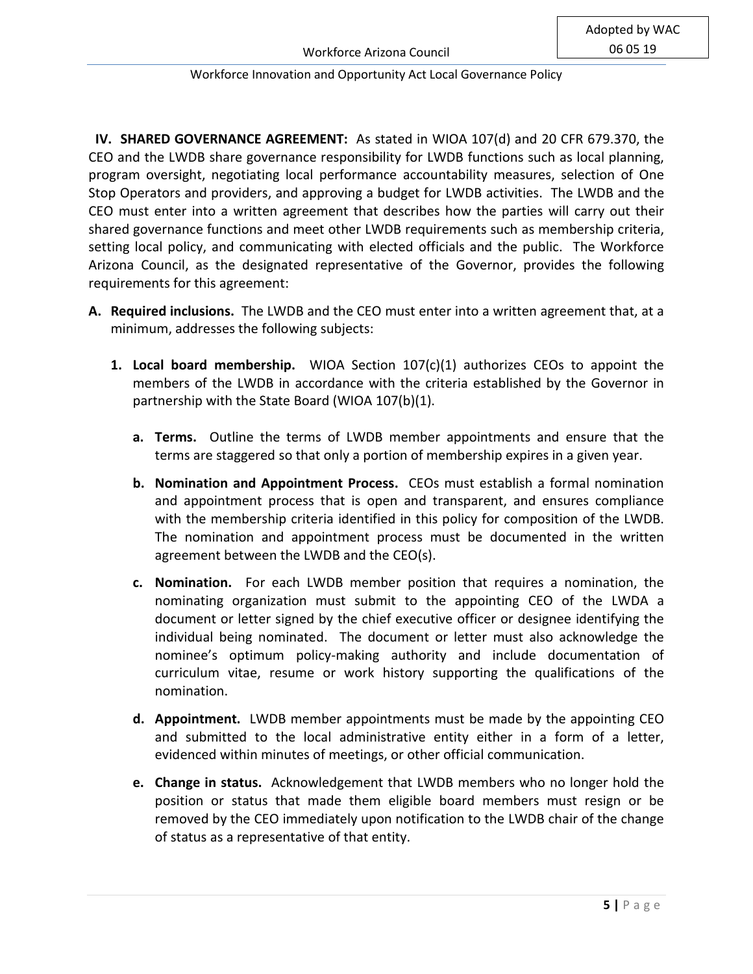**IV. SHARED GOVERNANCE AGREEMENT:** As stated in WIOA 107(d) and 20 CFR 679.370, the CEO and the LWDB share governance responsibility for LWDB functions such as local planning, program oversight, negotiating local performance accountability measures, selection of One Stop Operators and providers, and approving a budget for LWDB activities. The LWDB and the CEO must enter into a written agreement that describes how the parties will carry out their shared governance functions and meet other LWDB requirements such as membership criteria, setting local policy, and communicating with elected officials and the public. The Workforce Arizona Council, as the designated representative of the Governor, provides the following requirements for this agreement:

- **A. Required inclusions.** The LWDB and the CEO must enter into a written agreement that, at a minimum, addresses the following subjects:
	- **1. Local board membership.** WIOA Section 107(c)(1) authorizes CEOs to appoint the members of the LWDB in accordance with the criteria established by the Governor in partnership with the State Board (WIOA 107(b)(1).
		- **a. Terms.** Outline the terms of LWDB member appointments and ensure that the terms are staggered so that only a portion of membership expires in a given year.
		- **b. Nomination and Appointment Process.** CEOs must establish a formal nomination and appointment process that is open and transparent, and ensures compliance with the membership criteria identified in this policy for composition of the LWDB. The nomination and appointment process must be documented in the written agreement between the LWDB and the CEO(s).
		- **c. Nomination.** For each LWDB member position that requires a nomination, the nominating organization must submit to the appointing CEO of the LWDA a document or letter signed by the chief executive officer or designee identifying the individual being nominated. The document or letter must also acknowledge the nominee's optimum policy-making authority and include documentation of curriculum vitae, resume or work history supporting the qualifications of the nomination.
		- **d. Appointment.** LWDB member appointments must be made by the appointing CEO and submitted to the local administrative entity either in a form of a letter, evidenced within minutes of meetings, or other official communication.
		- **e. Change in status.** Acknowledgement that LWDB members who no longer hold the position or status that made them eligible board members must resign or be removed by the CEO immediately upon notification to the LWDB chair of the change of status as a representative of that entity.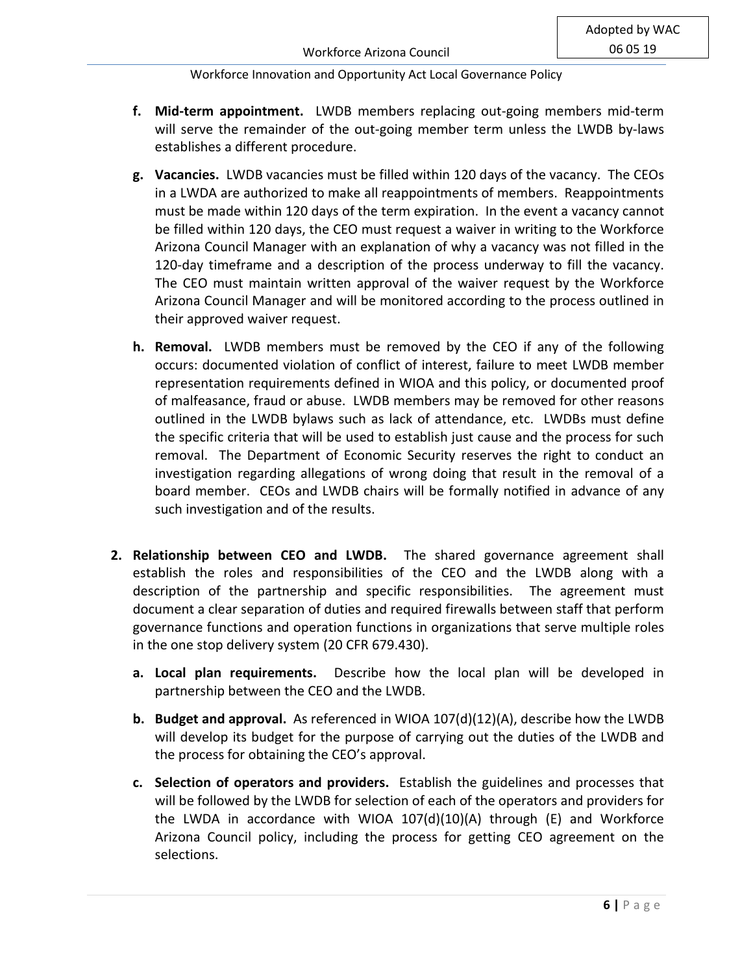- **f. Mid-term appointment.** LWDB members replacing out-going members mid-term will serve the remainder of the out-going member term unless the LWDB by-laws establishes a different procedure.
- **g. Vacancies.** LWDB vacancies must be filled within 120 days of the vacancy. The CEOs in a LWDA are authorized to make all reappointments of members. Reappointments must be made within 120 days of the term expiration. In the event a vacancy cannot be filled within 120 days, the CEO must request a waiver in writing to the Workforce Arizona Council Manager with an explanation of why a vacancy was not filled in the 120-day timeframe and a description of the process underway to fill the vacancy. The CEO must maintain written approval of the waiver request by the Workforce Arizona Council Manager and will be monitored according to the process outlined in their approved waiver request.
- **h. Removal.** LWDB members must be removed by the CEO if any of the following occurs: documented violation of conflict of interest, failure to meet LWDB member representation requirements defined in WIOA and this policy, or documented proof of malfeasance, fraud or abuse. LWDB members may be removed for other reasons outlined in the LWDB bylaws such as lack of attendance, etc. LWDBs must define the specific criteria that will be used to establish just cause and the process for such removal. The Department of Economic Security reserves the right to conduct an investigation regarding allegations of wrong doing that result in the removal of a board member. CEOs and LWDB chairs will be formally notified in advance of any such investigation and of the results.
- **2. Relationship between CEO and LWDB.** The shared governance agreement shall establish the roles and responsibilities of the CEO and the LWDB along with a description of the partnership and specific responsibilities. The agreement must document a clear separation of duties and required firewalls between staff that perform governance functions and operation functions in organizations that serve multiple roles in the one stop delivery system (20 CFR 679.430).
	- **a. Local plan requirements.** Describe how the local plan will be developed in partnership between the CEO and the LWDB.
	- **b. Budget and approval.** As referenced in WIOA 107(d)(12)(A), describe how the LWDB will develop its budget for the purpose of carrying out the duties of the LWDB and the process for obtaining the CEO's approval.
	- **c. Selection of operators and providers.** Establish the guidelines and processes that will be followed by the LWDB for selection of each of the operators and providers for the LWDA in accordance with WIOA  $107(d)(10)(A)$  through (E) and Workforce Arizona Council policy, including the process for getting CEO agreement on the selections.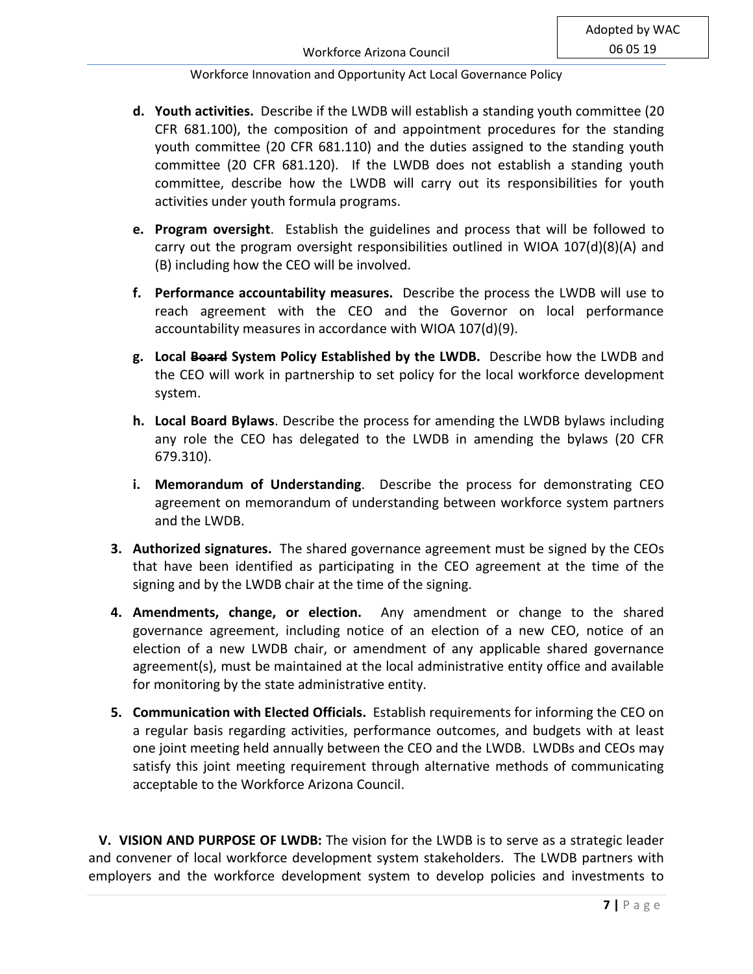- **d. Youth activities.** Describe if the LWDB will establish a standing youth committee (20 CFR 681.100), the composition of and appointment procedures for the standing youth committee (20 CFR 681.110) and the duties assigned to the standing youth committee (20 CFR 681.120). If the LWDB does not establish a standing youth committee, describe how the LWDB will carry out its responsibilities for youth activities under youth formula programs.
- **e. Program oversight**. Establish the guidelines and process that will be followed to carry out the program oversight responsibilities outlined in WIOA 107(d)(8)(A) and (B) including how the CEO will be involved.
- **f. Performance accountability measures.** Describe the process the LWDB will use to reach agreement with the CEO and the Governor on local performance accountability measures in accordance with WIOA 107(d)(9).
- **g. Local Board System Policy Established by the LWDB.** Describe how the LWDB and the CEO will work in partnership to set policy for the local workforce development system.
- **h. Local Board Bylaws**. Describe the process for amending the LWDB bylaws including any role the CEO has delegated to the LWDB in amending the bylaws (20 CFR 679.310).
- **i. Memorandum of Understanding**. Describe the process for demonstrating CEO agreement on memorandum of understanding between workforce system partners and the LWDB.
- **3. Authorized signatures.** The shared governance agreement must be signed by the CEOs that have been identified as participating in the CEO agreement at the time of the signing and by the LWDB chair at the time of the signing.
- **4. Amendments, change, or election.** Any amendment or change to the shared governance agreement, including notice of an election of a new CEO, notice of an election of a new LWDB chair, or amendment of any applicable shared governance agreement(s), must be maintained at the local administrative entity office and available for monitoring by the state administrative entity.
- **5. Communication with Elected Officials.** Establish requirements for informing the CEO on a regular basis regarding activities, performance outcomes, and budgets with at least one joint meeting held annually between the CEO and the LWDB. LWDBs and CEOs may satisfy this joint meeting requirement through alternative methods of communicating acceptable to the Workforce Arizona Council.

 **V. VISION AND PURPOSE OF LWDB:** The vision for the LWDB is to serve as a strategic leader and convener of local workforce development system stakeholders. The LWDB partners with employers and the workforce development system to develop policies and investments to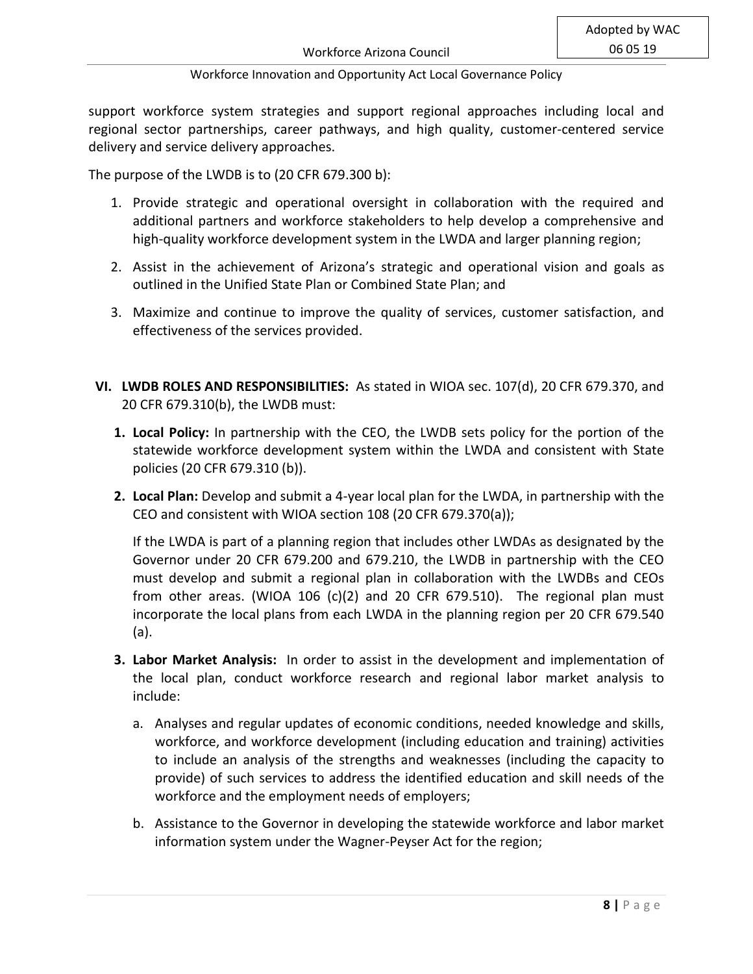support workforce system strategies and support regional approaches including local and regional sector partnerships, career pathways, and high quality, customer-centered service delivery and service delivery approaches.

The purpose of the LWDB is to (20 CFR 679.300 b):

- 1. Provide strategic and operational oversight in collaboration with the required and additional partners and workforce stakeholders to help develop a comprehensive and high-quality workforce development system in the LWDA and larger planning region;
- 2. Assist in the achievement of Arizona's strategic and operational vision and goals as outlined in the Unified State Plan or Combined State Plan; and
- 3. Maximize and continue to improve the quality of services, customer satisfaction, and effectiveness of the services provided.
- **VI. LWDB ROLES AND RESPONSIBILITIES:** As stated in WIOA sec. 107(d), 20 CFR 679.370, and 20 CFR 679.310(b), the LWDB must:
	- **1. Local Policy:** In partnership with the CEO, the LWDB sets policy for the portion of the statewide workforce development system within the LWDA and consistent with State policies (20 CFR 679.310 (b)).
	- **2. Local Plan:** Develop and submit a 4-year local plan for the LWDA, in partnership with the CEO and consistent with WIOA section 108 (20 CFR 679.370(a));

If the LWDA is part of a planning region that includes other LWDAs as designated by the Governor under 20 CFR 679.200 and 679.210, the LWDB in partnership with the CEO must develop and submit a regional plan in collaboration with the LWDBs and CEOs from other areas. (WIOA 106 (c)(2) and 20 CFR 679.510). The regional plan must incorporate the local plans from each LWDA in the planning region per 20 CFR 679.540 (a).

- **3. Labor Market Analysis:** In order to assist in the development and implementation of the local plan, conduct workforce research and regional labor market analysis to include:
	- a. Analyses and regular updates of economic conditions, needed knowledge and skills, workforce, and workforce development (including education and training) activities to include an analysis of the strengths and weaknesses (including the capacity to provide) of such services to address the identified education and skill needs of the workforce and the employment needs of employers;
	- b. Assistance to the Governor in developing the statewide workforce and labor market information system under the Wagner-Peyser Act for the region;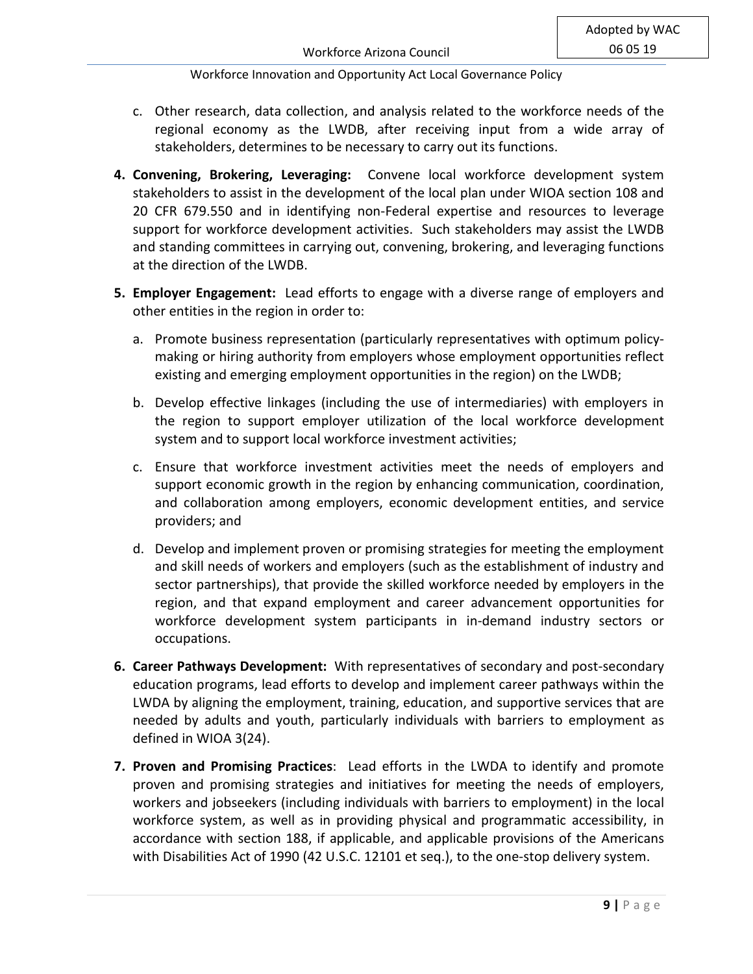- c. Other research, data collection, and analysis related to the workforce needs of the regional economy as the LWDB, after receiving input from a wide array of stakeholders, determines to be necessary to carry out its functions.
- **4. Convening, Brokering, Leveraging:** Convene local workforce development system stakeholders to assist in the development of the local plan under WIOA section 108 and 20 CFR 679.550 and in identifying non-Federal expertise and resources to leverage support for workforce development activities. Such stakeholders may assist the LWDB and standing committees in carrying out, convening, brokering, and leveraging functions at the direction of the LWDB.
- **5. Employer Engagement:** Lead efforts to engage with a diverse range of employers and other entities in the region in order to:
	- a. Promote business representation (particularly representatives with optimum policymaking or hiring authority from employers whose employment opportunities reflect existing and emerging employment opportunities in the region) on the LWDB;
	- b. Develop effective linkages (including the use of intermediaries) with employers in the region to support employer utilization of the local workforce development system and to support local workforce investment activities;
	- c. Ensure that workforce investment activities meet the needs of employers and support economic growth in the region by enhancing communication, coordination, and collaboration among employers, economic development entities, and service providers; and
	- d. Develop and implement proven or promising strategies for meeting the employment and skill needs of workers and employers (such as the establishment of industry and sector partnerships), that provide the skilled workforce needed by employers in the region, and that expand employment and career advancement opportunities for workforce development system participants in in-demand industry sectors or occupations.
- **6. Career Pathways Development:** With representatives of secondary and post-secondary education programs, lead efforts to develop and implement career pathways within the LWDA by aligning the employment, training, education, and supportive services that are needed by adults and youth, particularly individuals with barriers to employment as defined in WIOA 3(24).
- **7. Proven and Promising Practices**: Lead efforts in the LWDA to identify and promote proven and promising strategies and initiatives for meeting the needs of employers, workers and jobseekers (including individuals with barriers to employment) in the local workforce system, as well as in providing physical and programmatic accessibility, in accordance with section 188, if applicable, and applicable provisions of the Americans with Disabilities Act of 1990 (42 U.S.C. 12101 et seq.), to the one-stop delivery system.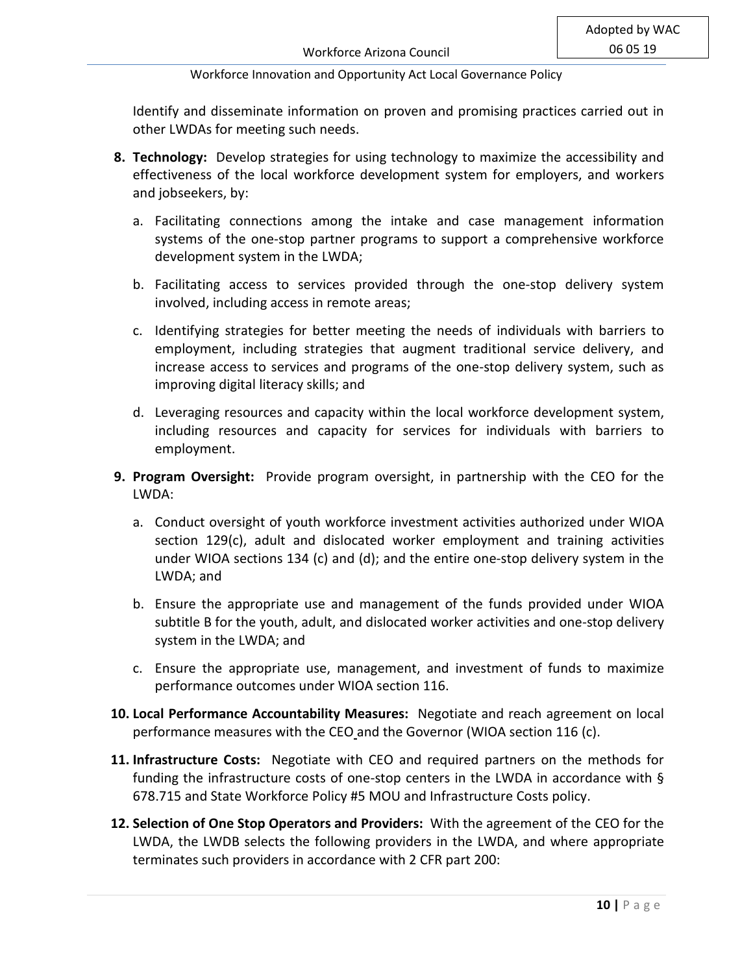Identify and disseminate information on proven and promising practices carried out in other LWDAs for meeting such needs.

- **8. Technology:** Develop strategies for using technology to maximize the accessibility and effectiveness of the local workforce development system for employers, and workers and jobseekers, by:
	- a. Facilitating connections among the intake and case management information systems of the one-stop partner programs to support a comprehensive workforce development system in the LWDA;
	- b. Facilitating access to services provided through the one-stop delivery system involved, including access in remote areas;
	- c. Identifying strategies for better meeting the needs of individuals with barriers to employment, including strategies that augment traditional service delivery, and increase access to services and programs of the one-stop delivery system, such as improving digital literacy skills; and
	- d. Leveraging resources and capacity within the local workforce development system, including resources and capacity for services for individuals with barriers to employment.
- **9. Program Oversight:** Provide program oversight, in partnership with the CEO for the LWDA:
	- a. Conduct oversight of youth workforce investment activities authorized under WIOA section 129(c), adult and dislocated worker employment and training activities under WIOA sections 134 (c) and (d); and the entire one-stop delivery system in the LWDA; and
	- b. Ensure the appropriate use and management of the funds provided under WIOA subtitle B for the youth, adult, and dislocated worker activities and one-stop delivery system in the LWDA; and
	- c. Ensure the appropriate use, management, and investment of funds to maximize performance outcomes under WIOA section 116.
- **10. Local Performance Accountability Measures:** Negotiate and reach agreement on local performance measures with the CEO and the Governor (WIOA section 116 (c).
- **11. Infrastructure Costs:** Negotiate with CEO and required partners on the methods for funding the infrastructure costs of one-stop centers in the LWDA in accordance with § 678.715 and State Workforce Policy #5 MOU and Infrastructure Costs policy.
- **12. Selection of One Stop Operators and Providers:** With the agreement of the CEO for the LWDA, the LWDB selects the following providers in the LWDA, and where appropriate terminates such providers in accordance with 2 CFR part 200: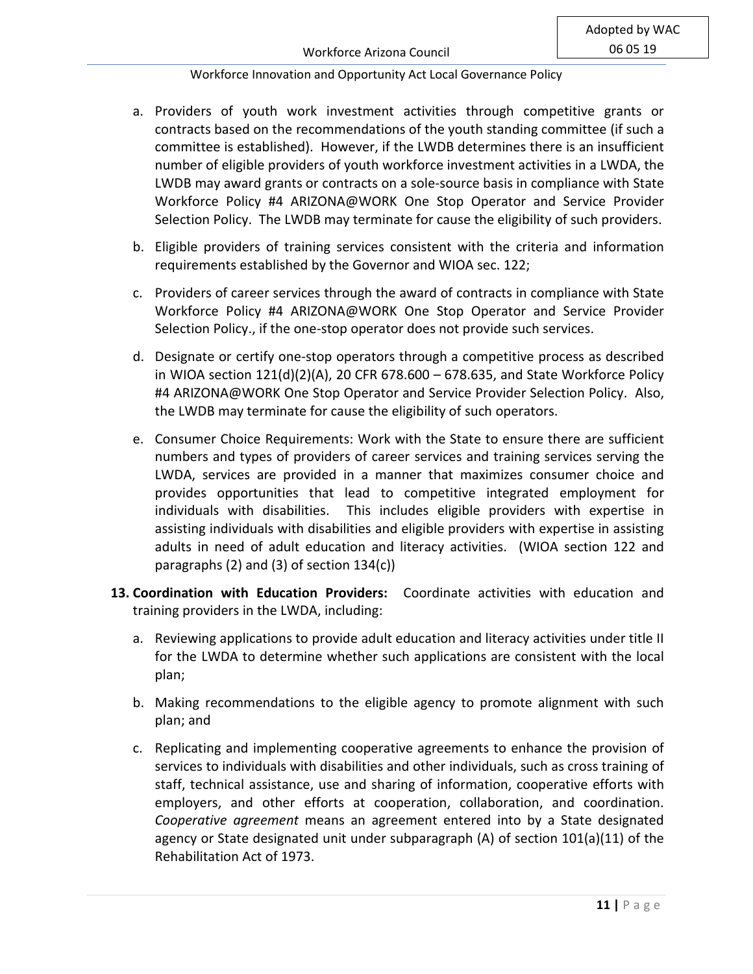- a. Providers of youth work investment activities through competitive grants or contracts based on the recommendations of the youth standing committee (if such a committee is established). However, if the LWDB determines there is an insufficient number of eligible providers of youth workforce investment activities in a LWDA, the LWDB may award grants or contracts on a sole-source basis in compliance with State Workforce Policy #4 ARIZONA@WORK One Stop Operator and Service Provider Selection Policy. The LWDB may terminate for cause the eligibility of such providers.
- b. Eligible providers of training services consistent with the criteria and information requirements established by the Governor and WIOA sec. 122;
- c. Providers of career services through the award of contracts in compliance with State Workforce Policy #4 ARIZONA@WORK One Stop Operator and Service Provider Selection Policy., if the one-stop operator does not provide such services.
- d. Designate or certify one-stop operators through a competitive process as described in WIOA section 121(d)(2)(A), 20 CFR 678.600 – 678.635, and State Workforce Policy #4 ARIZONA@WORK One Stop Operator and Service Provider Selection Policy. Also, the LWDB may terminate for cause the eligibility of such operators.
- e. Consumer Choice Requirements: Work with the State to ensure there are sufficient numbers and types of providers of career services and training services serving the LWDA, services are provided in a manner that maximizes consumer choice and provides opportunities that lead to competitive integrated employment for individuals with disabilities. This includes eligible providers with expertise in assisting individuals with disabilities and eligible providers with expertise in assisting adults in need of adult education and literacy activities. (WIOA section 122 and paragraphs (2) and (3) of section 134(c))
- **13. Coordination with Education Providers:** Coordinate activities with education and training providers in the LWDA, including:
	- a. Reviewing applications to provide adult education and literacy activities under title II for the LWDA to determine whether such applications are consistent with the local plan;
	- b. Making recommendations to the eligible agency to promote alignment with such plan; and
	- c. Replicating and implementing cooperative agreements to enhance the provision of services to individuals with disabilities and other individuals, such as cross training of staff, technical assistance, use and sharing of information, cooperative efforts with employers, and other efforts at cooperation, collaboration, and coordination. *Cooperative agreement* means an agreement entered into by a State designated agency or State designated unit under subparagraph (A) of section 101(a)(11) of the Rehabilitation Act of 1973.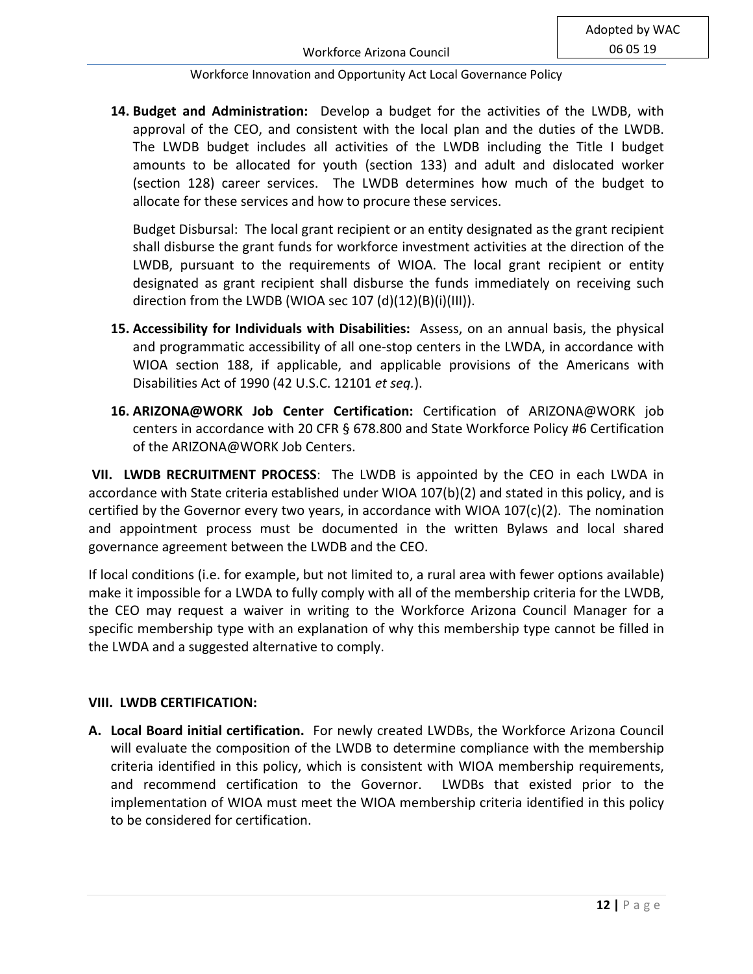**14. Budget and Administration:** Develop a budget for the activities of the LWDB, with approval of the CEO, and consistent with the local plan and the duties of the LWDB. The LWDB budget includes all activities of the LWDB including the Title I budget amounts to be allocated for youth (section 133) and adult and dislocated worker (section 128) career services. The LWDB determines how much of the budget to allocate for these services and how to procure these services.

Budget Disbursal: The local grant recipient or an entity designated as the grant recipient shall disburse the grant funds for workforce investment activities at the direction of the LWDB, pursuant to the requirements of WIOA. The local grant recipient or entity designated as grant recipient shall disburse the funds immediately on receiving such direction from the LWDB (WIOA sec 107 (d)(12)(B)(i)(III)).

- **15. Accessibility for Individuals with Disabilities:** Assess, on an annual basis, the physical and programmatic accessibility of all one-stop centers in the LWDA, in accordance with WIOA section 188, if applicable, and applicable provisions of the Americans with Disabilities Act of 1990 (42 U.S.C. 12101 *et seq.*).
- **16. ARIZONA@WORK Job Center Certification:** Certification of ARIZONA@WORK job centers in accordance with 20 CFR § 678.800 and State Workforce Policy #6 Certification of the ARIZONA@WORK Job Centers.

**VII. LWDB RECRUITMENT PROCESS**: The LWDB is appointed by the CEO in each LWDA in accordance with State criteria established under WIOA 107(b)(2) and stated in this policy, and is certified by the Governor every two years, in accordance with WIOA  $107(c)(2)$ . The nomination and appointment process must be documented in the written Bylaws and local shared governance agreement between the LWDB and the CEO.

If local conditions (i.e. for example, but not limited to, a rural area with fewer options available) make it impossible for a LWDA to fully comply with all of the membership criteria for the LWDB, the CEO may request a waiver in writing to the Workforce Arizona Council Manager for a specific membership type with an explanation of why this membership type cannot be filled in the LWDA and a suggested alternative to comply.

## **VIII. LWDB CERTIFICATION:**

**A. Local Board initial certification.** For newly created LWDBs, the Workforce Arizona Council will evaluate the composition of the LWDB to determine compliance with the membership criteria identified in this policy, which is consistent with WIOA membership requirements, and recommend certification to the Governor. LWDBs that existed prior to the implementation of WIOA must meet the WIOA membership criteria identified in this policy to be considered for certification.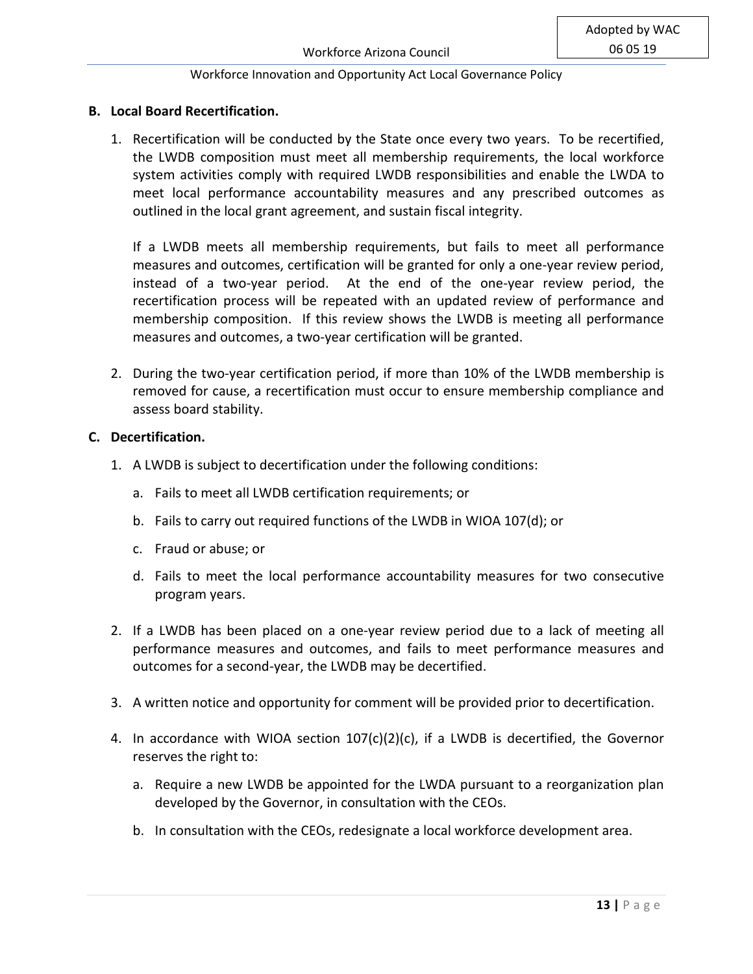# **B. Local Board Recertification.**

1. Recertification will be conducted by the State once every two years. To be recertified, the LWDB composition must meet all membership requirements, the local workforce system activities comply with required LWDB responsibilities and enable the LWDA to meet local performance accountability measures and any prescribed outcomes as outlined in the local grant agreement, and sustain fiscal integrity.

If a LWDB meets all membership requirements, but fails to meet all performance measures and outcomes, certification will be granted for only a one-year review period, instead of a two-year period. At the end of the one-year review period, the recertification process will be repeated with an updated review of performance and membership composition. If this review shows the LWDB is meeting all performance measures and outcomes, a two-year certification will be granted.

2. During the two-year certification period, if more than 10% of the LWDB membership is removed for cause, a recertification must occur to ensure membership compliance and assess board stability.

## **C. Decertification.**

- 1. A LWDB is subject to decertification under the following conditions:
	- a. Fails to meet all LWDB certification requirements; or
	- b. Fails to carry out required functions of the LWDB in WIOA 107(d); or
	- c. Fraud or abuse; or
	- d. Fails to meet the local performance accountability measures for two consecutive program years.
- 2. If a LWDB has been placed on a one-year review period due to a lack of meeting all performance measures and outcomes, and fails to meet performance measures and outcomes for a second-year, the LWDB may be decertified.
- 3. A written notice and opportunity for comment will be provided prior to decertification.
- 4. In accordance with WIOA section 107(c)(2)(c), if a LWDB is decertified, the Governor reserves the right to:
	- a. Require a new LWDB be appointed for the LWDA pursuant to a reorganization plan developed by the Governor, in consultation with the CEOs.
	- b. In consultation with the CEOs, redesignate a local workforce development area.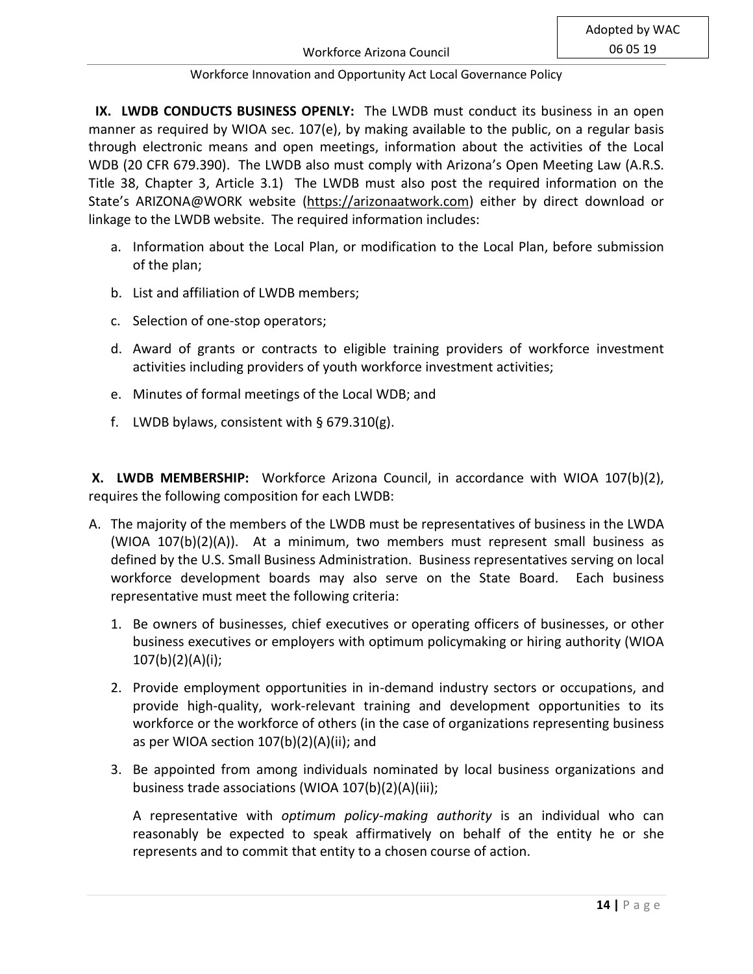**IX. LWDB CONDUCTS BUSINESS OPENLY:** The LWDB must conduct its business in an open manner as required by WIOA sec. 107(e), by making available to the public, on a regular basis through electronic means and open meetings, information about the activities of the Local WDB (20 CFR 679.390). The LWDB also must comply with Arizona's Open Meeting Law (A.R.S. Title 38, Chapter 3, Article 3.1) The LWDB must also post the required information on the State's ARIZONA@WORK website [\(https://arizonaatwork.com\)](https://arizonaatwork.com/) either by direct download or linkage to the LWDB website. The required information includes:

- a. Information about the Local Plan, or modification to the Local Plan, before submission of the plan;
- b. List and affiliation of LWDB members;
- c. Selection of one-stop operators;
- d. Award of grants or contracts to eligible training providers of workforce investment activities including providers of youth workforce investment activities;
- e. Minutes of formal meetings of the Local WDB; and
- f. LWDB bylaws, consistent with  $\S$  679.310(g).

**X. LWDB MEMBERSHIP:** Workforce Arizona Council, in accordance with WIOA 107(b)(2), requires the following composition for each LWDB:

- A. The majority of the members of the LWDB must be representatives of business in the LWDA (WIOA 107(b)(2)(A)). At a minimum, two members must represent small business as defined by the U.S. Small Business Administration. Business representatives serving on local workforce development boards may also serve on the State Board. Each business representative must meet the following criteria:
	- 1. Be owners of businesses, chief executives or operating officers of businesses, or other business executives or employers with optimum policymaking or hiring authority (WIOA 107(b)(2)(A)(i);
	- 2. Provide employment opportunities in in-demand industry sectors or occupations, and provide high-quality, work-relevant training and development opportunities to its workforce or the workforce of others (in the case of organizations representing business as per WIOA section 107(b)(2)(A)(ii); and
	- 3. Be appointed from among individuals nominated by local business organizations and business trade associations (WIOA 107(b)(2)(A)(iii);

A representative with *optimum policy-making authority* is an individual who can reasonably be expected to speak affirmatively on behalf of the entity he or she represents and to commit that entity to a chosen course of action.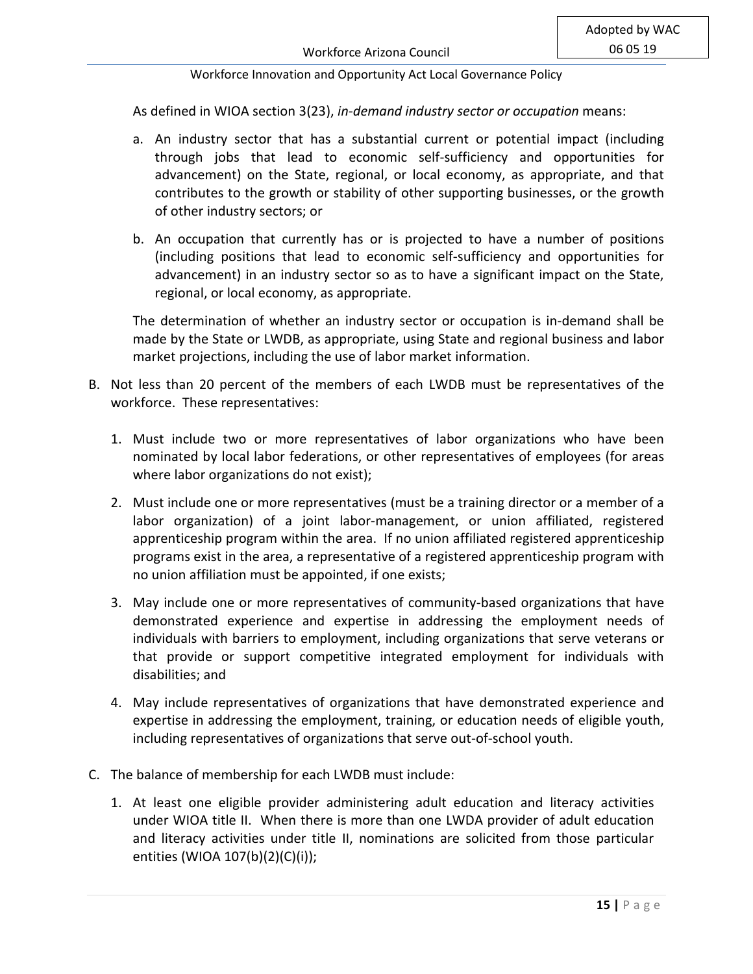As defined in WIOA section 3(23), *in-demand industry sector or occupation* means:

- a. An industry sector that has a substantial current or potential impact (including through jobs that lead to economic self-sufficiency and opportunities for advancement) on the State, regional, or local economy, as appropriate, and that contributes to the growth or stability of other supporting businesses, or the growth of other industry sectors; or
- b. An occupation that currently has or is projected to have a number of positions (including positions that lead to economic self-sufficiency and opportunities for advancement) in an industry sector so as to have a significant impact on the State, regional, or local economy, as appropriate.

The determination of whether an industry sector or occupation is in-demand shall be made by the State or LWDB, as appropriate, using State and regional business and labor market projections, including the use of labor market information.

- B. Not less than 20 percent of the members of each LWDB must be representatives of the workforce. These representatives:
	- 1. Must include two or more representatives of labor organizations who have been nominated by local labor federations, or other representatives of employees (for areas where labor organizations do not exist);
	- 2. Must include one or more representatives (must be a training director or a member of a labor organization) of a joint labor-management, or union affiliated, registered apprenticeship program within the area. If no union affiliated registered apprenticeship programs exist in the area, a representative of a registered apprenticeship program with no union affiliation must be appointed, if one exists;
	- 3. May include one or more representatives of community-based organizations that have demonstrated experience and expertise in addressing the employment needs of individuals with barriers to employment, including organizations that serve veterans or that provide or support competitive integrated employment for individuals with disabilities; and
	- 4. May include representatives of organizations that have demonstrated experience and expertise in addressing the employment, training, or education needs of eligible youth, including representatives of organizations that serve out-of-school youth.
- C. The balance of membership for each LWDB must include:
	- 1. At least one eligible provider administering adult education and literacy activities under WIOA title II. When there is more than one LWDA provider of adult education and literacy activities under title II, nominations are solicited from those particular entities (WIOA 107(b)(2)(C)(i));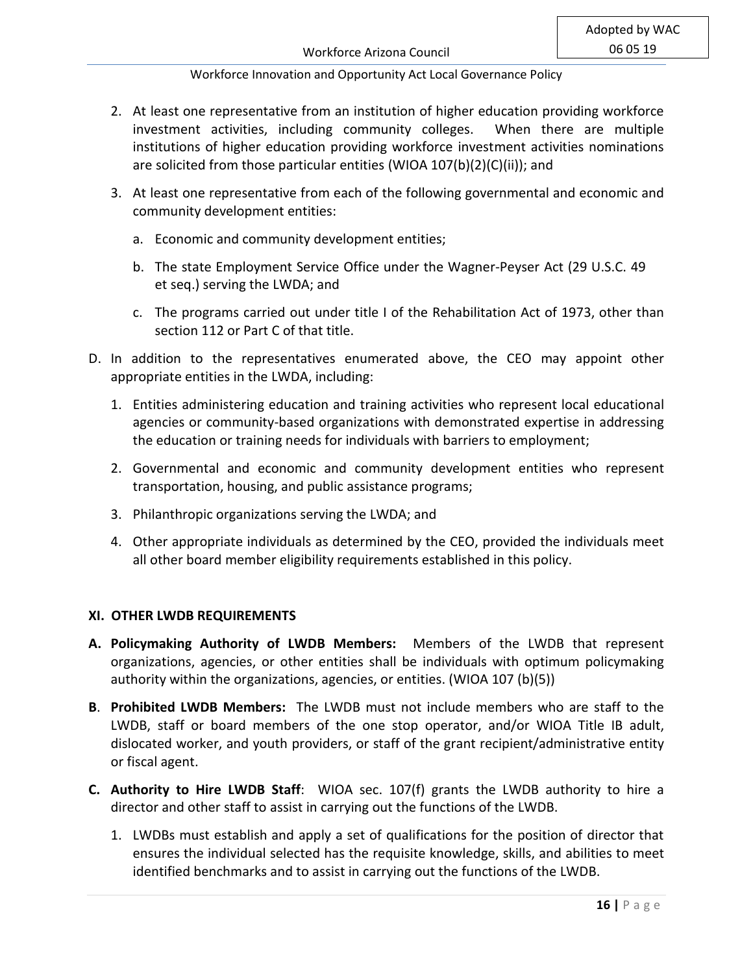- 2. At least one representative from an institution of higher education providing workforce investment activities, including community colleges. When there are multiple institutions of higher education providing workforce investment activities nominations are solicited from those particular entities (WIOA 107(b)(2)(C)(ii)); and
- 3. At least one representative from each of the following governmental and economic and community development entities:
	- a. Economic and community development entities;
	- b. The state Employment Service Office under the Wagner-Peyser Act (29 U.S.C. 49 et seq.) serving the LWDA; and
	- c. The programs carried out under title I of the Rehabilitation Act of 1973, other than section 112 or Part C of that title.
- D. In addition to the representatives enumerated above, the CEO may appoint other appropriate entities in the LWDA, including:
	- 1. Entities administering education and training activities who represent local educational agencies or community-based organizations with demonstrated expertise in addressing the education or training needs for individuals with barriers to employment;
	- 2. Governmental and economic and community development entities who represent transportation, housing, and public assistance programs;
	- 3. Philanthropic organizations serving the LWDA; and
	- 4. Other appropriate individuals as determined by the CEO, provided the individuals meet all other board member eligibility requirements established in this policy.

# **XI. OTHER LWDB REQUIREMENTS**

- **A. Policymaking Authority of LWDB Members:** Members of the LWDB that represent organizations, agencies, or other entities shall be individuals with optimum policymaking authority within the organizations, agencies, or entities. (WIOA 107 (b)(5))
- **B**. **Prohibited LWDB Members:** The LWDB must not include members who are staff to the LWDB, staff or board members of the one stop operator, and/or WIOA Title IB adult, dislocated worker, and youth providers, or staff of the grant recipient/administrative entity or fiscal agent.
- **C. Authority to Hire LWDB Staff**: WIOA sec. 107(f) grants the LWDB authority to hire a director and other staff to assist in carrying out the functions of the LWDB.
	- 1. LWDBs must establish and apply a set of qualifications for the position of director that ensures the individual selected has the requisite knowledge, skills, and abilities to meet identified benchmarks and to assist in carrying out the functions of the LWDB.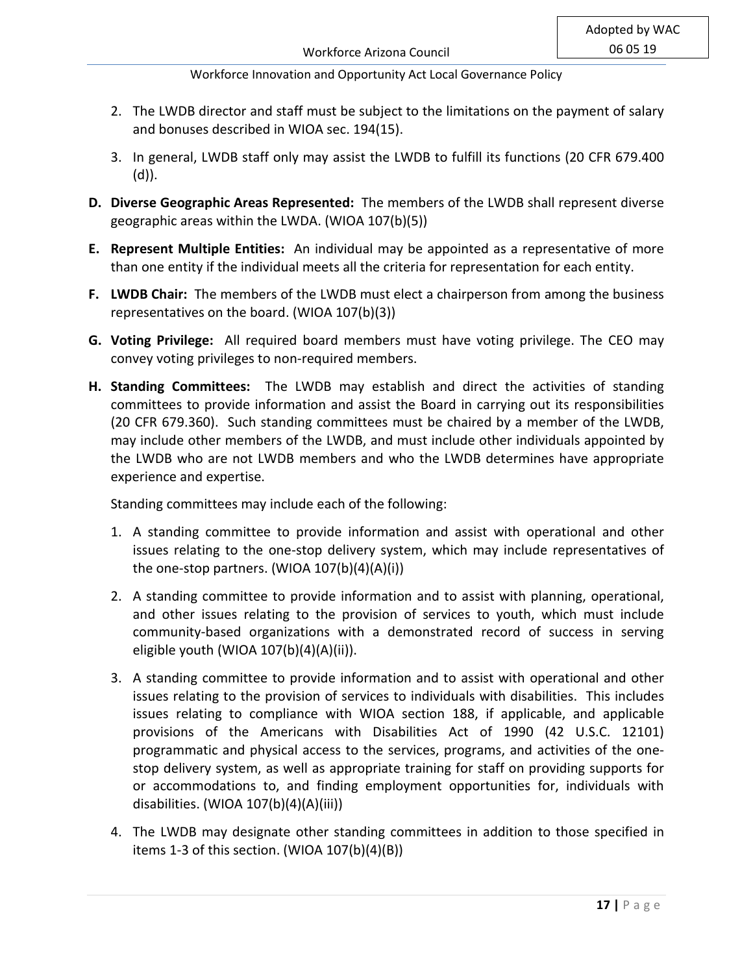- 2. The LWDB director and staff must be subject to the limitations on the payment of salary and bonuses described in WIOA sec. 194(15).
- 3. In general, LWDB staff only may assist the LWDB to fulfill its functions (20 CFR 679.400 (d)).
- **D. Diverse Geographic Areas Represented:** The members of the LWDB shall represent diverse geographic areas within the LWDA. (WIOA 107(b)(5))
- **E. Represent Multiple Entities:** An individual may be appointed as a representative of more than one entity if the individual meets all the criteria for representation for each entity.
- **F. LWDB Chair:** The members of the LWDB must elect a chairperson from among the business representatives on the board. (WIOA 107(b)(3))
- **G. Voting Privilege:** All required board members must have voting privilege. The CEO may convey voting privileges to non-required members.
- **H. Standing Committees:** The LWDB may establish and direct the activities of standing committees to provide information and assist the Board in carrying out its responsibilities (20 CFR 679.360). Such standing committees must be chaired by a member of the LWDB, may include other members of the LWDB, and must include other individuals appointed by the LWDB who are not LWDB members and who the LWDB determines have appropriate experience and expertise.

Standing committees may include each of the following:

- 1. A standing committee to provide information and assist with operational and other issues relating to the one-stop delivery system, which may include representatives of the one-stop partners. (WIOA 107(b)(4)(A)(i))
- 2. A standing committee to provide information and to assist with planning, operational, and other issues relating to the provision of services to youth, which must include community-based organizations with a demonstrated record of success in serving eligible youth (WIOA 107(b)(4)(A)(ii)).
- 3. A standing committee to provide information and to assist with operational and other issues relating to the provision of services to individuals with disabilities. This includes issues relating to compliance with WIOA section 188, if applicable, and applicable provisions of the Americans with Disabilities Act of 1990 (42 U.S.C. 12101) programmatic and physical access to the services, programs, and activities of the onestop delivery system, as well as appropriate training for staff on providing supports for or accommodations to, and finding employment opportunities for, individuals with disabilities. (WIOA 107(b)(4)(A)(iii))
- 4. The LWDB may designate other standing committees in addition to those specified in items 1-3 of this section. (WIOA 107(b)(4)(B))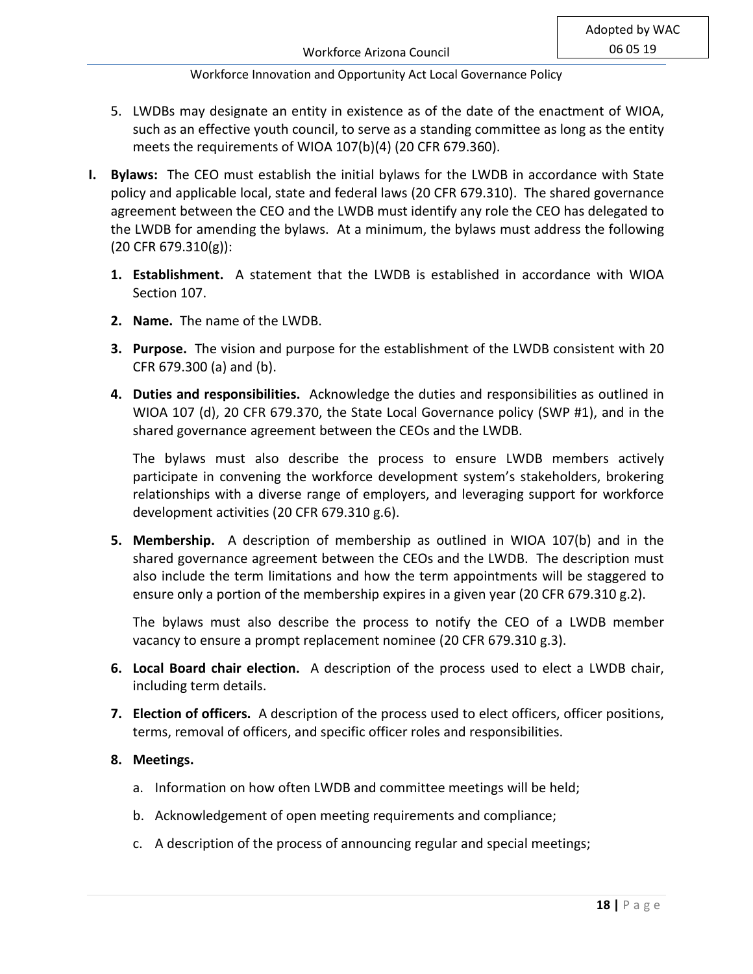- 5. LWDBs may designate an entity in existence as of the date of the enactment of WIOA, such as an effective youth council, to serve as a standing committee as long as the entity meets the requirements of WIOA 107(b)(4) (20 CFR 679.360).
- **I. Bylaws:** The CEO must establish the initial bylaws for the LWDB in accordance with State policy and applicable local, state and federal laws (20 CFR 679.310). The shared governance agreement between the CEO and the LWDB must identify any role the CEO has delegated to the LWDB for amending the bylaws. At a minimum, the bylaws must address the following (20 CFR 679.310(g)):
	- **1. Establishment.** A statement that the LWDB is established in accordance with WIOA Section 107.
	- **2. Name.** The name of the LWDB.
	- **3. Purpose.** The vision and purpose for the establishment of the LWDB consistent with 20 CFR 679.300 (a) and (b).
	- **4. Duties and responsibilities.** Acknowledge the duties and responsibilities as outlined in WIOA 107 (d), 20 CFR 679.370, the State Local Governance policy (SWP #1), and in the shared governance agreement between the CEOs and the LWDB.

The bylaws must also describe the process to ensure LWDB members actively participate in convening the workforce development system's stakeholders, brokering relationships with a diverse range of employers, and leveraging support for workforce development activities (20 CFR 679.310 g.6).

**5. Membership.** A description of membership as outlined in WIOA 107(b) and in the shared governance agreement between the CEOs and the LWDB. The description must also include the term limitations and how the term appointments will be staggered to ensure only a portion of the membership expires in a given year (20 CFR 679.310 g.2).

The bylaws must also describe the process to notify the CEO of a LWDB member vacancy to ensure a prompt replacement nominee (20 CFR 679.310 g.3).

- **6. Local Board chair election.** A description of the process used to elect a LWDB chair, including term details.
- **7. Election of officers.** A description of the process used to elect officers, officer positions, terms, removal of officers, and specific officer roles and responsibilities.

# **8. Meetings.**

- a. Information on how often LWDB and committee meetings will be held;
- b. Acknowledgement of open meeting requirements and compliance;
- c. A description of the process of announcing regular and special meetings;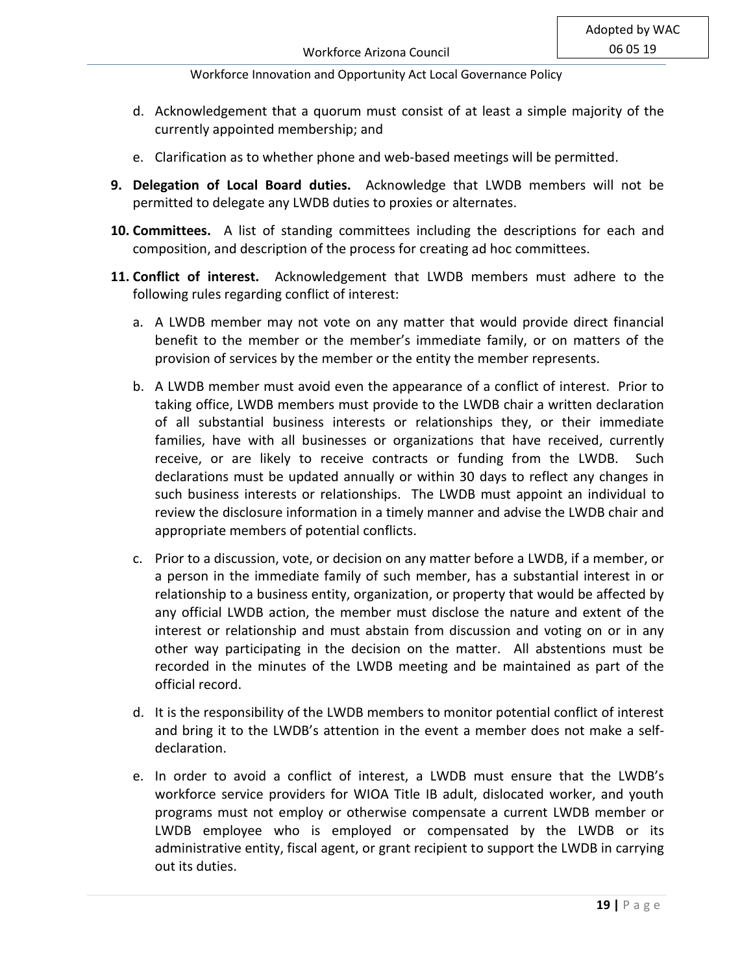- d. Acknowledgement that a quorum must consist of at least a simple majority of the currently appointed membership; and
- e. Clarification as to whether phone and web-based meetings will be permitted.
- **9. Delegation of Local Board duties.** Acknowledge that LWDB members will not be permitted to delegate any LWDB duties to proxies or alternates.
- **10. Committees.** A list of standing committees including the descriptions for each and composition, and description of the process for creating ad hoc committees.
- **11. Conflict of interest.** Acknowledgement that LWDB members must adhere to the following rules regarding conflict of interest:
	- a. A LWDB member may not vote on any matter that would provide direct financial benefit to the member or the member's immediate family, or on matters of the provision of services by the member or the entity the member represents.
	- b. A LWDB member must avoid even the appearance of a conflict of interest. Prior to taking office, LWDB members must provide to the LWDB chair a written declaration of all substantial business interests or relationships they, or their immediate families, have with all businesses or organizations that have received, currently receive, or are likely to receive contracts or funding from the LWDB. Such declarations must be updated annually or within 30 days to reflect any changes in such business interests or relationships. The LWDB must appoint an individual to review the disclosure information in a timely manner and advise the LWDB chair and appropriate members of potential conflicts.
	- c. Prior to a discussion, vote, or decision on any matter before a LWDB, if a member, or a person in the immediate family of such member, has a substantial interest in or relationship to a business entity, organization, or property that would be affected by any official LWDB action, the member must disclose the nature and extent of the interest or relationship and must abstain from discussion and voting on or in any other way participating in the decision on the matter. All abstentions must be recorded in the minutes of the LWDB meeting and be maintained as part of the official record.
	- d. It is the responsibility of the LWDB members to monitor potential conflict of interest and bring it to the LWDB's attention in the event a member does not make a selfdeclaration.
	- e. In order to avoid a conflict of interest, a LWDB must ensure that the LWDB's workforce service providers for WIOA Title IB adult, dislocated worker, and youth programs must not employ or otherwise compensate a current LWDB member or LWDB employee who is employed or compensated by the LWDB or its administrative entity, fiscal agent, or grant recipient to support the LWDB in carrying out its duties.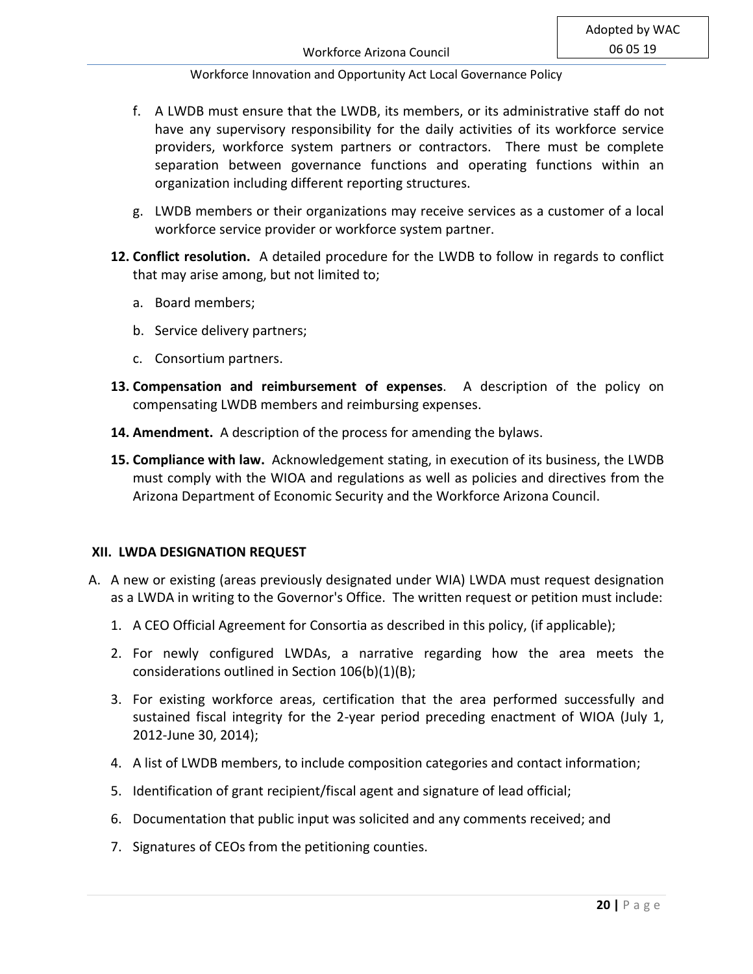- f. A LWDB must ensure that the LWDB, its members, or its administrative staff do not have any supervisory responsibility for the daily activities of its workforce service providers, workforce system partners or contractors. There must be complete separation between governance functions and operating functions within an organization including different reporting structures.
- g. LWDB members or their organizations may receive services as a customer of a local workforce service provider or workforce system partner.
- **12. Conflict resolution.** A detailed procedure for the LWDB to follow in regards to conflict that may arise among, but not limited to;
	- a. Board members;
	- b. Service delivery partners;
	- c. Consortium partners.
- **13. Compensation and reimbursement of expenses**. A description of the policy on compensating LWDB members and reimbursing expenses.
- **14. Amendment.** A description of the process for amending the bylaws.
- **15. Compliance with law.** Acknowledgement stating, in execution of its business, the LWDB must comply with the WIOA and regulations as well as policies and directives from the Arizona Department of Economic Security and the Workforce Arizona Council.

## **XII. LWDA DESIGNATION REQUEST**

- A. A new or existing (areas previously designated under WIA) LWDA must request designation as a LWDA in writing to the Governor's Office. The written request or petition must include:
	- 1. A CEO Official Agreement for Consortia as described in this policy, (if applicable);
	- 2. For newly configured LWDAs, a narrative regarding how the area meets the considerations outlined in Section 106(b)(1)(B);
	- 3. For existing workforce areas, certification that the area performed successfully and sustained fiscal integrity for the 2-year period preceding enactment of WIOA (July 1, 2012-June 30, 2014);
	- 4. A list of LWDB members, to include composition categories and contact information;
	- 5. Identification of grant recipient/fiscal agent and signature of lead official;
	- 6. Documentation that public input was solicited and any comments received; and
	- 7. Signatures of CEOs from the petitioning counties.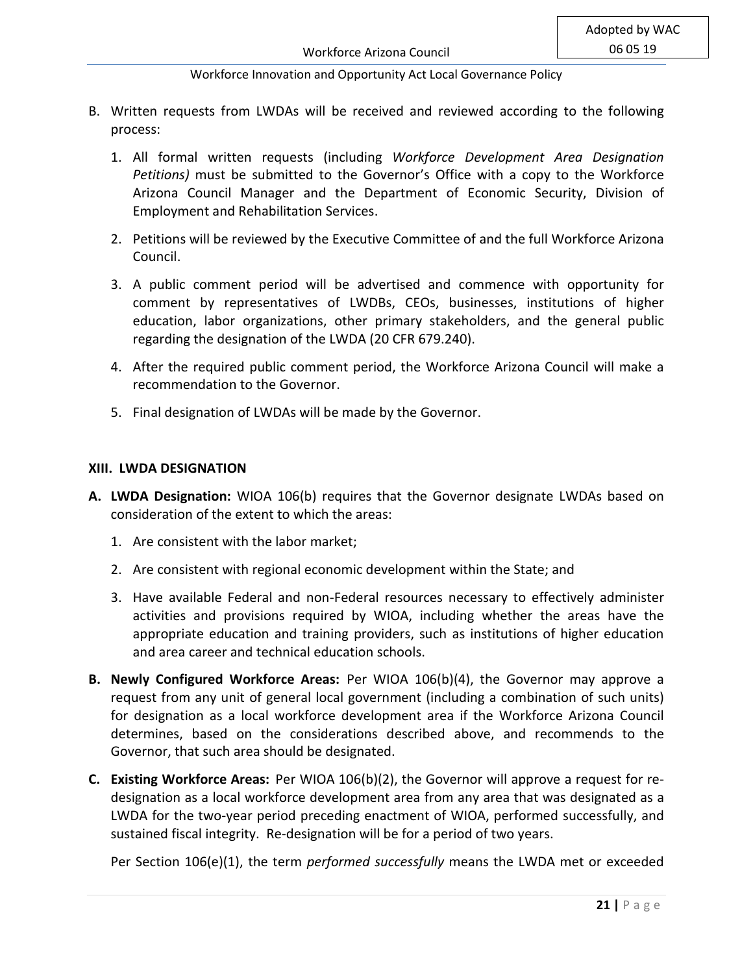- B. Written requests from LWDAs will be received and reviewed according to the following process:
	- 1. All formal written requests (including *Workforce Development Area Designation Petitions)* must be submitted to the Governor's Office with a copy to the Workforce Arizona Council Manager and the Department of Economic Security, Division of Employment and Rehabilitation Services.
	- 2. Petitions will be reviewed by the Executive Committee of and the full Workforce Arizona Council.
	- 3. A public comment period will be advertised and commence with opportunity for comment by representatives of LWDBs, CEOs, businesses, institutions of higher education, labor organizations, other primary stakeholders, and the general public regarding the designation of the LWDA (20 CFR 679.240).
	- 4. After the required public comment period, the Workforce Arizona Council will make a recommendation to the Governor.
	- 5. Final designation of LWDAs will be made by the Governor.

#### **XIII. LWDA DESIGNATION**

- **A. LWDA Designation:** WIOA 106(b) requires that the Governor designate LWDAs based on consideration of the extent to which the areas:
	- 1. Are consistent with the labor market;
	- 2. Are consistent with regional economic development within the State; and
	- 3. Have available Federal and non-Federal resources necessary to effectively administer activities and provisions required by WIOA, including whether the areas have the appropriate education and training providers, such as institutions of higher education and area career and technical education schools.
- **B. Newly Configured Workforce Areas:** Per WIOA 106(b)(4), the Governor may approve a request from any unit of general local government (including a combination of such units) for designation as a local workforce development area if the Workforce Arizona Council determines, based on the considerations described above, and recommends to the Governor, that such area should be designated.
- **C. Existing Workforce Areas:** Per WIOA 106(b)(2), the Governor will approve a request for redesignation as a local workforce development area from any area that was designated as a LWDA for the two-year period preceding enactment of WIOA, performed successfully, and sustained fiscal integrity. Re-designation will be for a period of two years.

Per Section 106(e)(1), the term *performed successfully* means the LWDA met or exceeded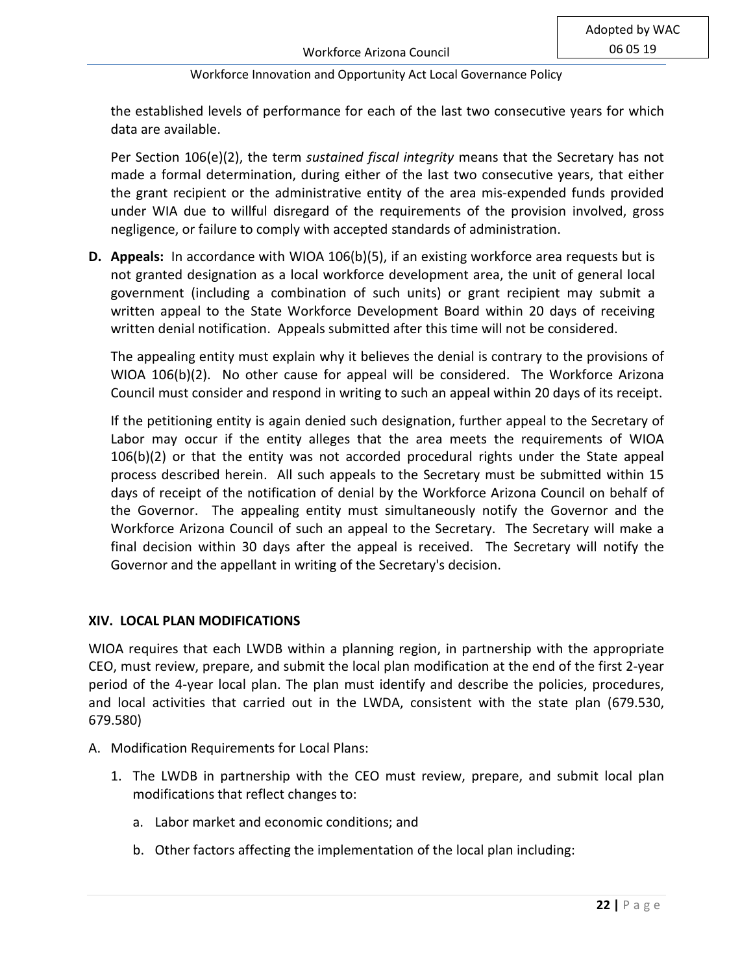the established levels of performance for each of the last two consecutive years for which data are available.

Per Section 106(e)(2), the term *sustained fiscal integrity* means that the Secretary has not made a formal determination, during either of the last two consecutive years, that either the grant recipient or the administrative entity of the area mis-expended funds provided under WIA due to willful disregard of the requirements of the provision involved, gross negligence, or failure to comply with accepted standards of administration.

**D. Appeals:** In accordance with WIOA 106(b)(5), if an existing workforce area requests but is not granted designation as a local workforce development area, the unit of general local government (including a combination of such units) or grant recipient may submit a written appeal to the State Workforce Development Board within 20 days of receiving written denial notification. Appeals submitted after this time will not be considered.

The appealing entity must explain why it believes the denial is contrary to the provisions of WIOA 106(b)(2). No other cause for appeal will be considered. The Workforce Arizona Council must consider and respond in writing to such an appeal within 20 days of its receipt.

If the petitioning entity is again denied such designation, further appeal to the Secretary of Labor may occur if the entity alleges that the area meets the requirements of WIOA 106(b)(2) or that the entity was not accorded procedural rights under the State appeal process described herein. All such appeals to the Secretary must be submitted within 15 days of receipt of the notification of denial by the Workforce Arizona Council on behalf of the Governor. The appealing entity must simultaneously notify the Governor and the Workforce Arizona Council of such an appeal to the Secretary. The Secretary will make a final decision within 30 days after the appeal is received. The Secretary will notify the Governor and the appellant in writing of the Secretary's decision.

## **XIV. LOCAL PLAN MODIFICATIONS**

WIOA requires that each LWDB within a planning region, in partnership with the appropriate CEO, must review, prepare, and submit the local plan modification at the end of the first 2-year period of the 4-year local plan. The plan must identify and describe the policies, procedures, and local activities that carried out in the LWDA, consistent with the state plan (679.530, 679.580)

- A. Modification Requirements for Local Plans:
	- 1. The LWDB in partnership with the CEO must review, prepare, and submit local plan modifications that reflect changes to:
		- a. Labor market and economic conditions; and
		- b. Other factors affecting the implementation of the local plan including: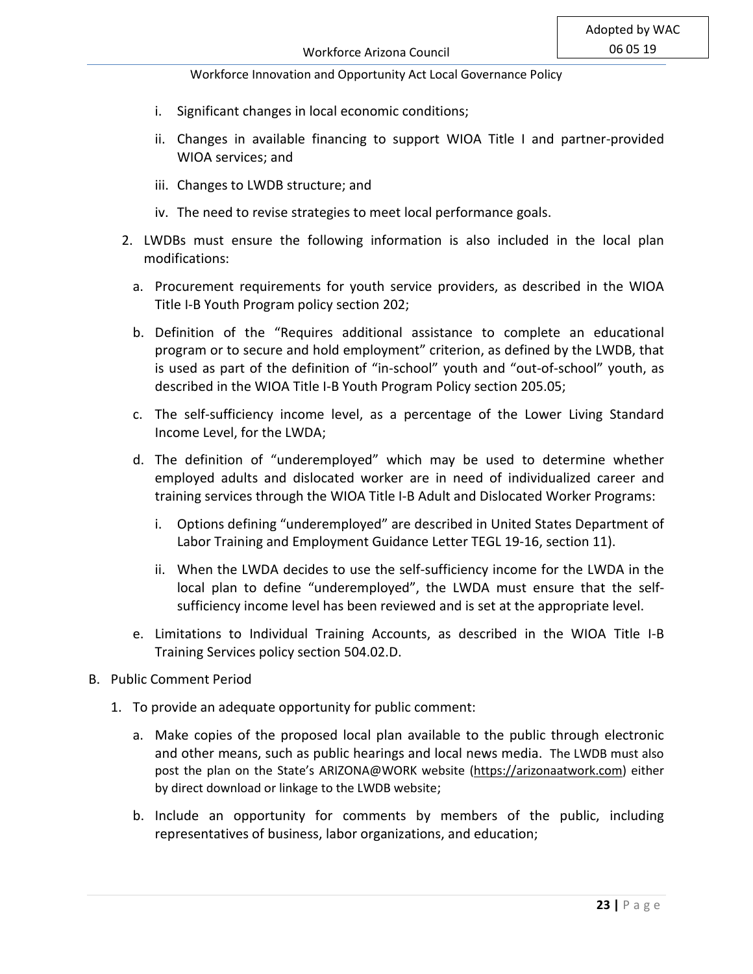- i. Significant changes in local economic conditions;
- ii. Changes in available financing to support WIOA Title I and partner-provided WIOA services; and
- iii. Changes to LWDB structure; and
- iv. The need to revise strategies to meet local performance goals.
- 2. LWDBs must ensure the following information is also included in the local plan modifications:
	- a. Procurement requirements for youth service providers, as described in the WIOA Title I-B Youth Program policy section 202;
	- b. Definition of the "Requires additional assistance to complete an educational program or to secure and hold employment" criterion, as defined by the LWDB, that is used as part of the definition of "in-school" youth and "out-of-school" youth, as described in the WIOA Title I-B Youth Program Policy section 205.05;
	- c. The self-sufficiency income level, as a percentage of the Lower Living Standard Income Level, for the LWDA;
	- d. The definition of "underemployed" which may be used to determine whether employed adults and dislocated worker are in need of individualized career and training services through the WIOA Title I-B Adult and Dislocated Worker Programs:
		- i. Options defining "underemployed" are described in United States Department of Labor Training and Employment Guidance Letter TEGL 19-16, section 11).
		- ii. When the LWDA decides to use the self-sufficiency income for the LWDA in the local plan to define "underemployed", the LWDA must ensure that the selfsufficiency income level has been reviewed and is set at the appropriate level.
	- e. Limitations to Individual Training Accounts, as described in the WIOA Title I-B Training Services policy section 504.02.D.
- B. Public Comment Period
	- 1. To provide an adequate opportunity for public comment:
		- a. Make copies of the proposed local plan available to the public through electronic and other means, such as public hearings and local news media. The LWDB must also post the plan on the State's ARIZONA@WORK website [\(https://arizonaatwork.com\)](https://arizonaatwork.com/) either by direct download or linkage to the LWDB website;
		- b. Include an opportunity for comments by members of the public, including representatives of business, labor organizations, and education;